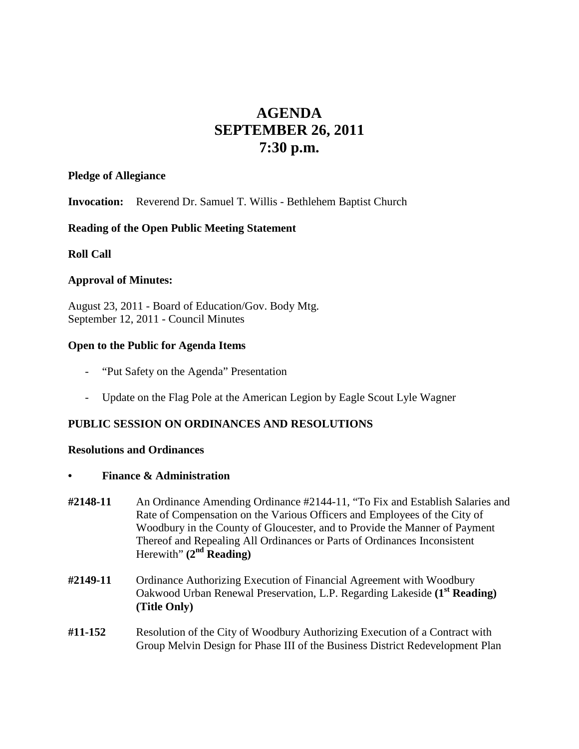# **AGENDA SEPTEMBER 26, 2011 7:30 p.m.**

#### **Pledge of Allegiance**

**Invocation:** Reverend Dr. Samuel T. Willis - Bethlehem Baptist Church

#### **Reading of the Open Public Meeting Statement**

#### **Roll Call**

#### **Approval of Minutes:**

August 23, 2011 - Board of Education/Gov. Body Mtg. September 12, 2011 - Council Minutes

#### **Open to the Public for Agenda Items**

- "Put Safety on the Agenda" Presentation
- Update on the Flag Pole at the American Legion by Eagle Scout Lyle Wagner

### **PUBLIC SESSION ON ORDINANCES AND RESOLUTIONS**

#### **Resolutions and Ordinances**

#### **• Finance & Administration**

- **#2148-11** An Ordinance Amending Ordinance #2144-11, "To Fix and Establish Salaries and Rate of Compensation on the Various Officers and Employees of the City of Woodbury in the County of Gloucester, and to Provide the Manner of Payment Thereof and Repealing All Ordinances or Parts of Ordinances Inconsistent Herewith" **(2nd Reading)**
- **#2149-11** Ordinance Authorizing Execution of Financial Agreement with Woodbury Oakwood Urban Renewal Preservation, L.P. Regarding Lakeside **(1st Reading) (Title Only)**
- **#11-152** Resolution of the City of Woodbury Authorizing Execution of a Contract with Group Melvin Design for Phase III of the Business District Redevelopment Plan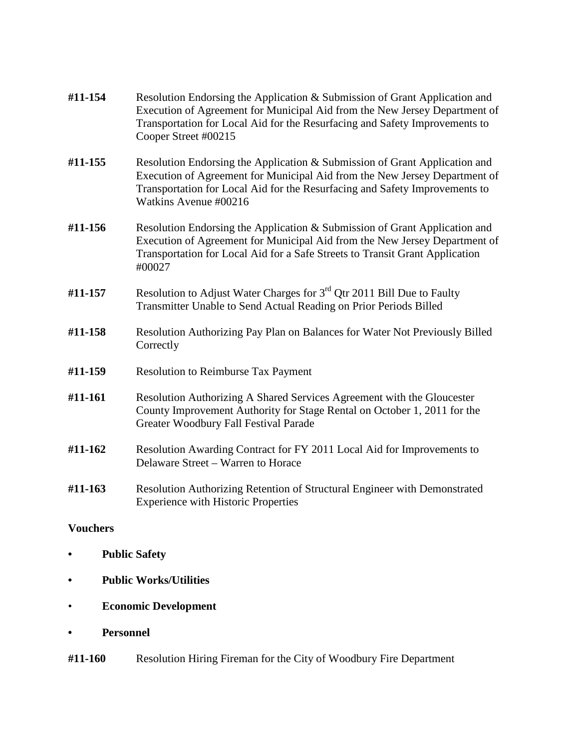| #11-154 | Resolution Endorsing the Application & Submission of Grant Application and<br>Execution of Agreement for Municipal Aid from the New Jersey Department of<br>Transportation for Local Aid for the Resurfacing and Safety Improvements to<br>Cooper Street #00215  |
|---------|------------------------------------------------------------------------------------------------------------------------------------------------------------------------------------------------------------------------------------------------------------------|
| #11-155 | Resolution Endorsing the Application & Submission of Grant Application and<br>Execution of Agreement for Municipal Aid from the New Jersey Department of<br>Transportation for Local Aid for the Resurfacing and Safety Improvements to<br>Watkins Avenue #00216 |
| #11-156 | Resolution Endorsing the Application & Submission of Grant Application and<br>Execution of Agreement for Municipal Aid from the New Jersey Department of<br>Transportation for Local Aid for a Safe Streets to Transit Grant Application<br>#00027               |
| #11-157 | Resolution to Adjust Water Charges for $3rd$ Qtr 2011 Bill Due to Faulty<br>Transmitter Unable to Send Actual Reading on Prior Periods Billed                                                                                                                    |
| #11-158 | Resolution Authorizing Pay Plan on Balances for Water Not Previously Billed<br>Correctly                                                                                                                                                                         |
| #11-159 | <b>Resolution to Reimburse Tax Payment</b>                                                                                                                                                                                                                       |
| #11-161 | Resolution Authorizing A Shared Services Agreement with the Gloucester<br>County Improvement Authority for Stage Rental on October 1, 2011 for the<br>Greater Woodbury Fall Festival Parade                                                                      |
| #11-162 | Resolution Awarding Contract for FY 2011 Local Aid for Improvements to<br>Delaware Street - Warren to Horace                                                                                                                                                     |
| #11-163 | Resolution Authorizing Retention of Structural Engineer with Demonstrated<br><b>Experience with Historic Properties</b>                                                                                                                                          |
|         |                                                                                                                                                                                                                                                                  |

# **Vouchers**

- **• Public Safety**
- **• Public Works/Utilities**
- **Economic Development**
- **• Personnel**
- **#11-160** Resolution Hiring Fireman for the City of Woodbury Fire Department